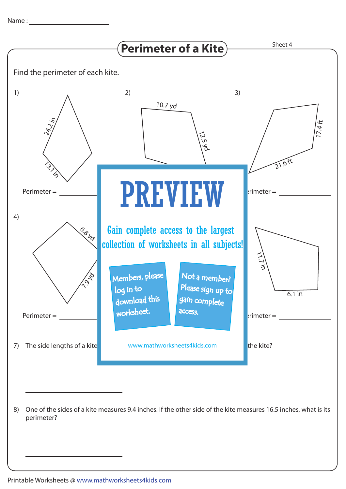